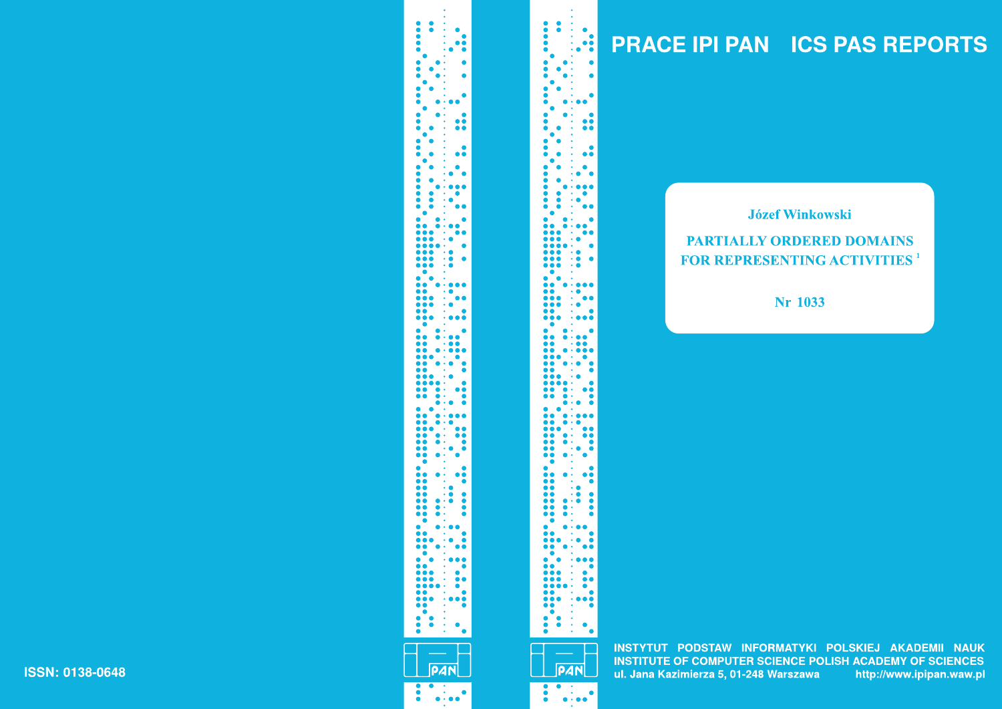# **PRACE IPI PAN ICS PAS REPORTS**

#### **Józef Winkowski**

### **PARTIALLY ORDERED DOMAINS FOR REPRESENTING ACTIVITIES**<sup>1</sup>

Nr 1033

INSTYTUT PODSTAW INFORMATYKI POLSKIEJ AKADEMII NAUK **INSTITUTE OF COMPUTER SCIENCE POLISH ACADEMY OF SCIENCES** ul. Jana Kazimierza 5, 01-248 Warszawa http://www.ipipan.waw.pl

**PAN**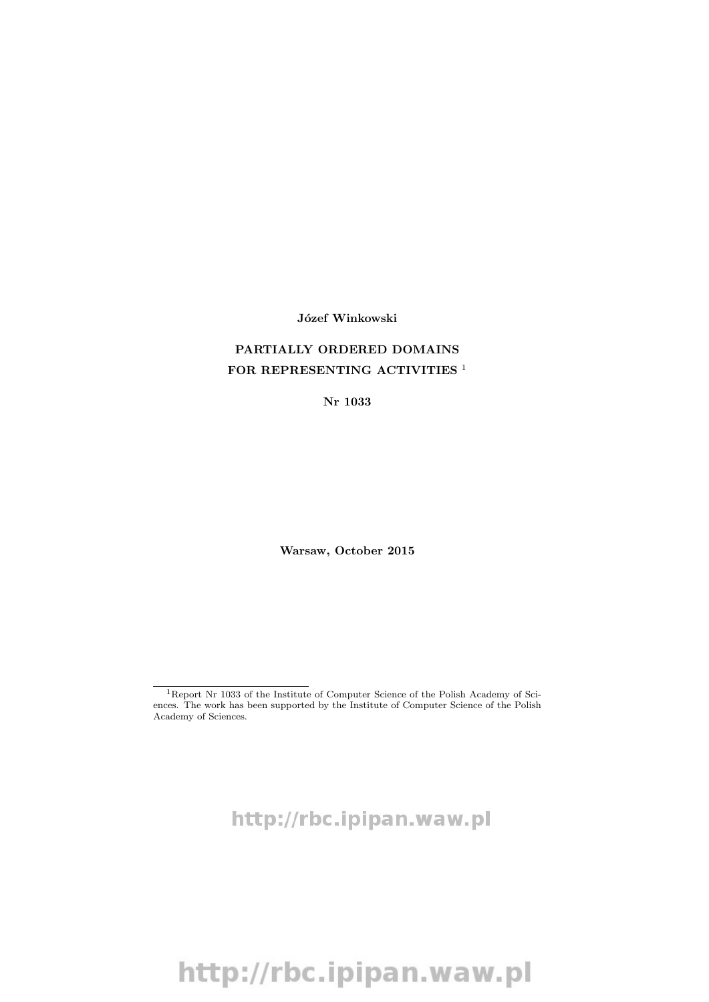Józef Winkowski

#### PARTIALLY ORDERED DOMAINS FOR REPRESENTING ACTIVITIES<sup>1</sup>

Nr 1033

Warsaw, October 2015

 $^{1}\mathrm{Report}$  Nr 1033 of the Institute of Computer Science of the Polish Academy of Sciences. The work has been supported by the Institute of Computer Science of the Polish Academy of Sciences.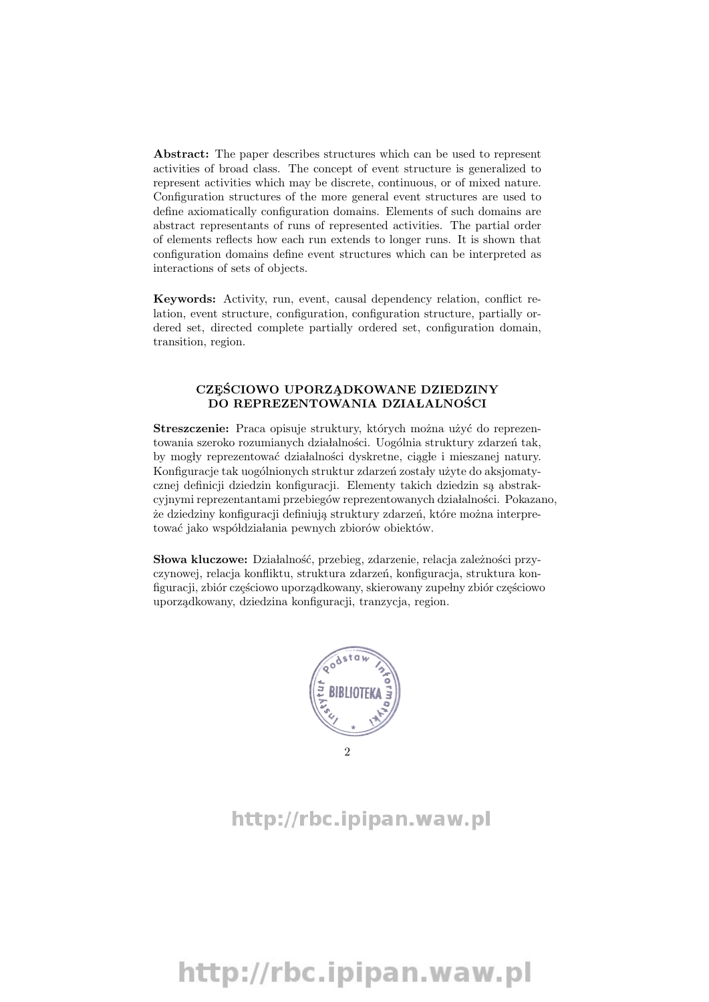Abstract: The paper describes structures which can be used to represent activities of broad class. The concept of event structure is generalized to represent activities which may be discrete, continuous, or of mixed nature. Configuration structures of the more general event structures are used to define axiomatically configuration domains. Elements of such domains are abstract representants of runs of represented activities. The partial order of elements reflects how each run extends to longer runs. It is shown that configuration domains define event structures which can be interpreted as interactions of sets of objects.

Keywords: Activity, run, event, causal dependency relation, conflict relation, event structure, configuration, configuration structure, partially ordered set, directed complete partially ordered set, configuration domain, transition, region.

#### CZĘŚCIOWO UPORZĄDKOWANE DZIEDZINY DO REPREZENTOWANIA DZIAŁALNOŚCI

Streszczenie: Praca opisuje struktury, których można użyć do reprezentowania szeroko rozumianych działalności. Uogólnia struktury zdarzeń tak, by mogły reprezentować działalności dyskretne, ciągle i mieszanej natury. Konfiguracje tak uogólnionych struktur zdarzeń zostały użyte do aksjomatycznej definicji dziedzin konfiguracji. Elementy takich dziedzin są abstrakcyjnymi reprezentantami przebiegów reprezentowanych działalności. Pokazano, że dziedziny konfiguracji definiują struktury zdarzeń, które można interpretować jako współdziałania pewnych zbiorów obiektów.

Słowa kluczowe: Działalność, przebieg, zdarzenie, relacja zależności przyczynowej, relacja konfliktu, struktura zdarzeń, konfiguracja, struktura konfiguracji, zbiór częściowo uporządkowany, skierowany zupełny zbiór częściowo uporządkowany, dziedzina konfiguracji, tranzycja, region.

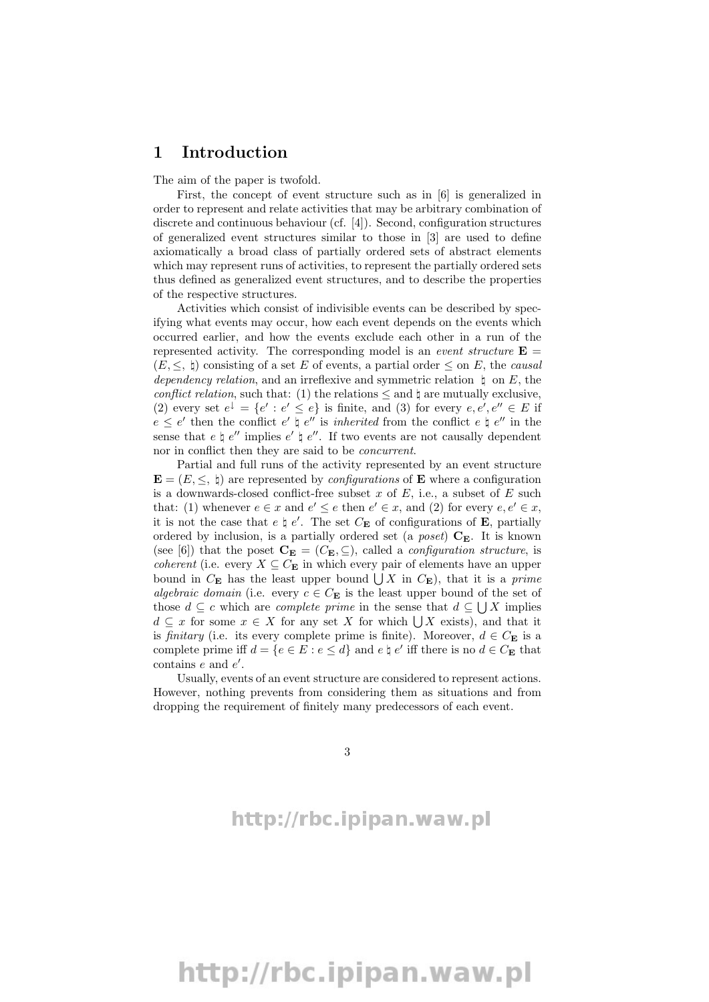#### 1 Introduction

The aim of the paper is twofold.

First, the concept of event structure such as in [6] is generalized in order to represent and relate activities that may be arbitrary combination of discrete and continuous behaviour (cf. [4]). Second, configuration structures of generalized event structures similar to those in [3] are used to define axiomatically a broad class of partially ordered sets of abstract elements which may represent runs of activities, to represent the partially ordered sets thus defined as generalized event structures, and to describe the properties of the respective structures.

Activities which consist of indivisible events can be described by specifying what events may occur, how each event depends on the events which occurred earlier, and how the events exclude each other in a run of the represented activity. The corresponding model is an *event structure*  $\mathbf{E} =$  $(E, \leq, \, \natural)$  consisting of a set E of events, a partial order  $\leq$  on E, the *causal* dependency relation, and an irreflexive and symmetric relation  $\ \ \downarrow$  on E, the conflict relation, such that: (1) the relations  $\leq$  and  $\natural$  are mutually exclusive, (2) every set  $e^{\downarrow} = \{e' : e' \leq e\}$  is finite, and (3) for every  $e, e', e'' \in E$  if  $e \leq e'$  then the conflict  $e' \not\vdash e''$  is *inherited* from the conflict  $e \not\vdash e''$  in the sense that  $e \nmid e''$  implies  $e' \nmid e''$ . If two events are not causally dependent nor in conflict then they are said to be concurrent.

Partial and full runs of the activity represented by an event structure  $\mathbf{E} = (E, \leq, \, \natural)$  are represented by *configurations* of **E** where a configuration is a downwards-closed conflict-free subset x of  $E$ , i.e., a subset of  $E$  such that: (1) whenever  $e \in x$  and  $e' \leq e$  then  $e' \in x$ , and (2) for every  $e, e' \in x$ , it is not the case that  $e \nmid e'$ . The set  $C_{\mathbf{E}}$  of configurations of **E**, partially ordered by inclusion, is a partially ordered set (a *poset*)  $C_{\mathbf{E}}$ . It is known (see [6]) that the poset  $\mathbf{C}_{\mathbf{E}} = (C_{\mathbf{E}}, \subseteq)$ , called a *configuration structure*, is *coherent* (i.e. every  $X \subseteq C_{\mathbf{E}}$  in which every pair of elements have an upper bound in  $C_{\mathbf{E}}$  has the least upper bound  $\bigcup X$  in  $C_{\mathbf{E}}$ ), that it is a prime algebraic domain (i.e. every  $c \in C_{\mathbf{E}}$  is the least upper bound of the set of those  $d \subseteq c$  which are *complete prime* in the sense that  $d \subseteq \bigcup X$  implies  $d \subseteq x$  for some  $x \in X$  for any set X for which  $\bigcup X$  exists), and that it is finitary (i.e. its every complete prime is finite). Moreover,  $d \in C_{\mathbf{E}}$  is a complete prime iff  $d = \{e \in E : e \leq d\}$  and  $e \nmid e'$  iff there is no  $d \in C_{\mathbf{E}}$  that contains  $e$  and  $e'$ .

Usually, events of an event structure are considered to represent actions. However, nothing prevents from considering them as situations and from dropping the requirement of finitely many predecessors of each event.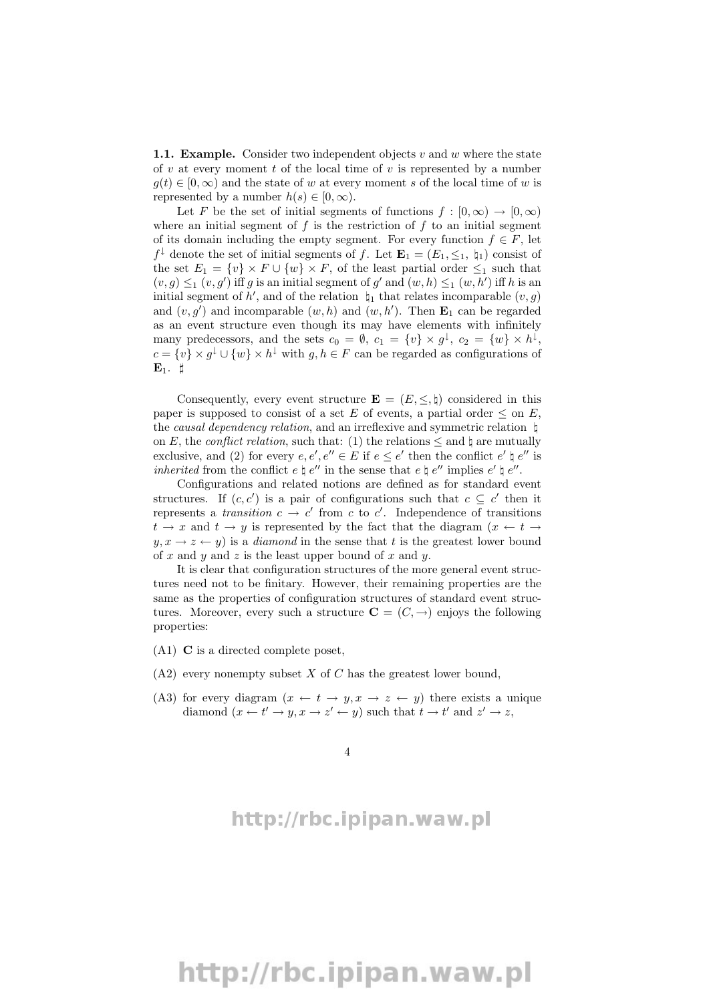**1.1. Example.** Consider two independent objects v and w where the state of  $v$  at every moment  $t$  of the local time of  $v$  is represented by a number  $g(t) \in [0,\infty)$  and the state of w at every moment s of the local time of w is represented by a number  $h(s) \in [0, \infty)$ .

Let F be the set of initial segments of functions  $f : [0, \infty) \to [0, \infty)$ where an initial segment of  $f$  is the restriction of  $f$  to an initial segment of its domain including the empty segment. For every function  $f \in F$ , let  $f^{\downarrow}$  denote the set of initial segments of f. Let  $\mathbf{E}_1 = (E_1, \leq_1, \mathbf{t}_1)$  consist of the set  $E_1 = \{v\} \times F \cup \{w\} \times F$ , of the least partial order  $\leq_1$  such that  $(v, g) \leq_1 (v, g')$  iff g is an initial segment of g' and  $(w, h) \leq_1 (w, h')$  iff h is an initial segment of h', and of the relation  $\natural_1$  that relates incomparable  $(v, g)$ and  $(v, g')$  and incomparable  $(w, h)$  and  $(w, h')$ . Then  $\mathbf{E}_1$  can be regarded as an event structure even though its may have elements with infinitely many predecessors, and the sets  $c_0 = \emptyset$ ,  $c_1 = \{v\} \times g^{\downarrow}$ ,  $c_2 = \{w\} \times h^{\downarrow}$ ,  $c = \{v\} \times g^{\downarrow} \cup \{w\} \times h^{\downarrow}$  with  $g, h \in F$  can be regarded as configurations of  $\mathbf{E}_1$ .  $\sharp$ 

Consequently, every event structure  $\mathbf{E} = (E, \leq, \natural)$  considered in this paper is supposed to consist of a set E of events, a partial order  $\leq$  on E, the *causal dependency relation*, and an irreflexive and symmetric relation  $\,\natural\,$ on E, the *conflict relation*, such that: (1) the relations  $\leq$  and  $\sharp$  are mutually exclusive, and (2) for every  $e, e', e'' \in E$  if  $e \leq e'$  then the conflict  $e' \not\vdash e''$  is inherited from the conflict  $e \nmid e''$  in the sense that  $e \nmid e''$  implies  $e' \nmid e''$ .

Configurations and related notions are defined as for standard event structures. If  $(c, c')$  is a pair of configurations such that  $c \subseteq c'$  then it represents a *transition*  $c \to c'$  from c to c'. Independence of transitions  $t \to x$  and  $t \to y$  is represented by the fact that the diagram  $(x \leftarrow t \rightarrow$  $y, x \rightarrow z \leftarrow y$  is a *diamond* in the sense that t is the greatest lower bound of x and y and z is the least upper bound of x and y.

It is clear that configuration structures of the more general event structures need not to be finitary. However, their remaining properties are the same as the properties of configuration structures of standard event structures. Moreover, every such a structure  $C = (C, \rightarrow)$  enjoys the following properties:

- (A1) C is a directed complete poset,
- $(A2)$  every nonempty subset X of C has the greatest lower bound,
- (A3) for every diagram  $(x \leftarrow t \rightarrow y, x \rightarrow z \leftarrow y)$  there exists a unique diamond  $(x \leftarrow t' \rightarrow y, x \rightarrow z' \leftarrow y)$  such that  $t \rightarrow t'$  and  $z' \rightarrow z$ ,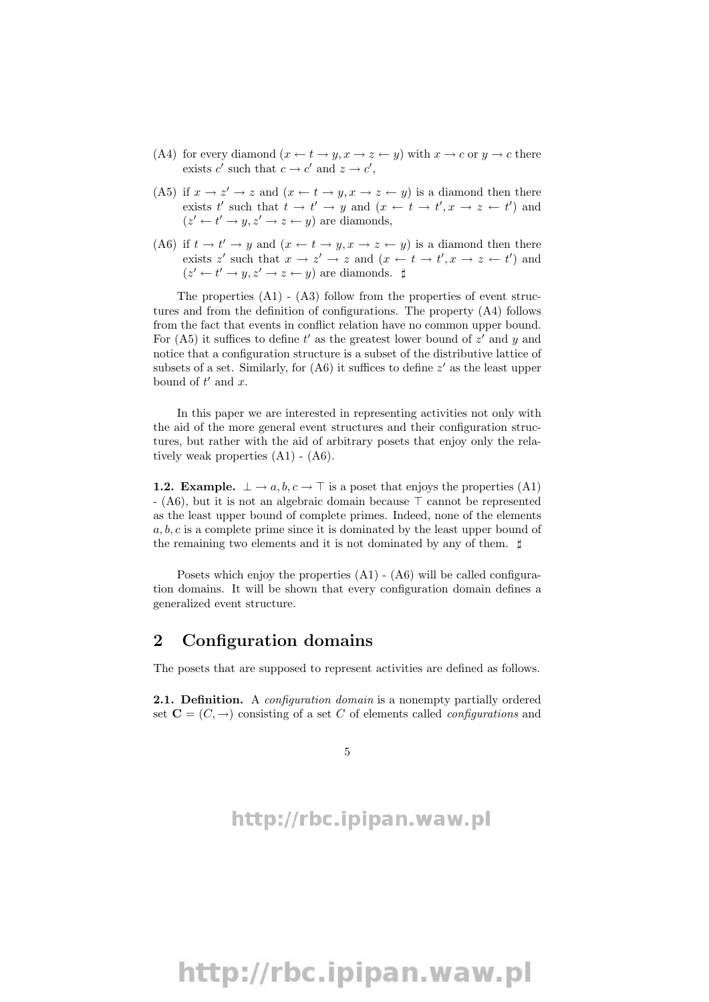- (A4) for every diamond  $(x \leftarrow t \rightarrow y, x \rightarrow z \leftarrow y)$  with  $x \rightarrow c$  or  $y \rightarrow c$  there exists c' such that  $c \to c'$  and  $z \to c'$ ,
- (A5) if  $x \to z' \to z$  and  $(x \leftarrow t \to y, x \to z \leftarrow y)$  is a diamond then there exists t' such that  $t \to t' \to y$  and  $(x \leftarrow t \to t', x \to z \leftarrow t')$  and  $(z' \leftarrow t' \rightarrow y, z' \rightarrow z \leftarrow y)$  are diamonds,
- (A6) if  $t \to t' \to y$  and  $(x \leftarrow t \to y, x \to z \leftarrow y)$  is a diamond then there exists z' such that  $x \to z' \to z$  and  $(x \leftarrow t \to t', x \to z \leftarrow t')$  and  $(z' \leftarrow t' \rightarrow y, z' \rightarrow z \leftarrow y)$  are diamonds.  $\sharp$

The properties  $(A1)$  -  $(A3)$  follow from the properties of event structures and from the definition of configurations. The property (A4) follows from the fact that events in conflict relation have no common upper bound. For (A5) it suffices to define  $t'$  as the greatest lower bound of  $z'$  and  $y$  and notice that a configuration structure is a subset of the distributive lattice of subsets of a set. Similarly, for  $(A6)$  it suffices to define  $z'$  as the least upper bound of  $t'$  and  $x$ .

In this paper we are interested in representing activities not only with the aid of the more general event structures and their configuration structures, but rather with the aid of arbitrary posets that enjoy only the relatively weak properties (A1) - (A6).

**1.2. Example.**  $\perp \rightarrow a, b, c \rightarrow \top$  is a poset that enjoys the properties (A1)  $- (A6)$ , but it is not an algebraic domain because  $\top$  cannot be represented as the least upper bound of complete primes. Indeed, none of the elements  $a, b, c$  is a complete prime since it is dominated by the least upper bound of the remaining two elements and it is not dominated by any of them.  $\sharp$ 

Posets which enjoy the properties  $(A1)$  -  $(A6)$  will be called configuration domains. It will be shown that every configuration domain defines a generalized event structure.

#### 2 Configuration domains

The posets that are supposed to represent activities are defined as follows.

2.1. Definition. A *configuration domain* is a nonempty partially ordered set  $\mathbf{C} = (C, \rightarrow)$  consisting of a set C of elements called *configurations* and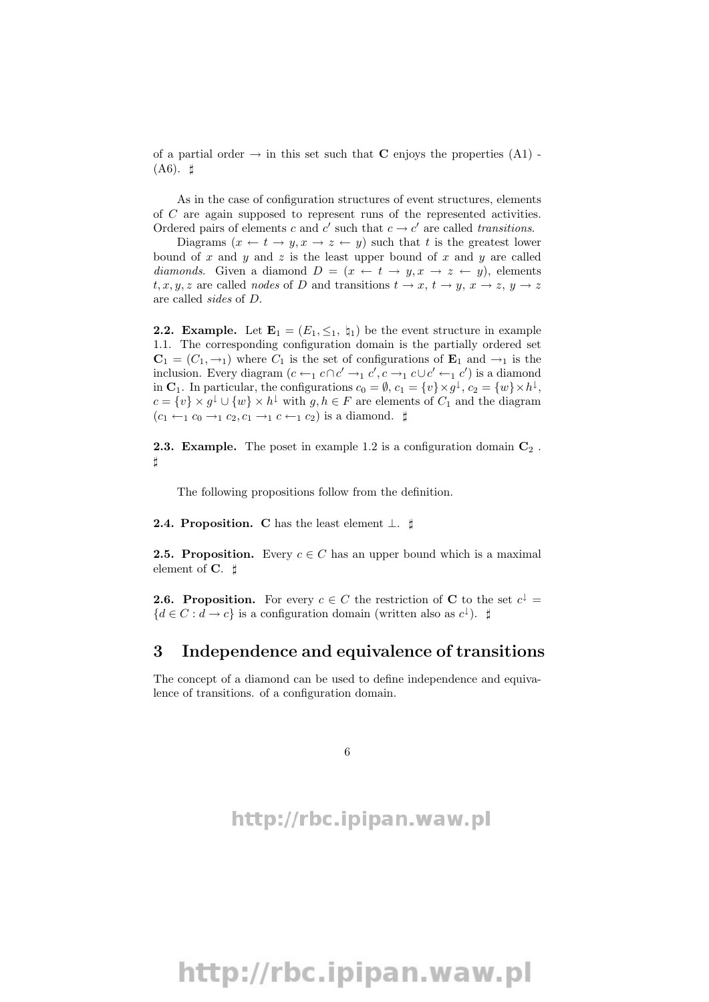of a partial order  $\rightarrow$  in this set such that **C** enjoys the properties (A1) - $($ A6 $)$ .  $\sharp$ 

As in the case of configuration structures of event structures, elements of C are again supposed to represent runs of the represented activities. Ordered pairs of elements c and c' such that  $c \to c'$  are called transitions.

Diagrams  $(x \leftarrow t \rightarrow y, x \rightarrow z \leftarrow y)$  such that t is the greatest lower bound of x and y and z is the least upper bound of x and y are called diamonds. Given a diamond  $D = (x \leftarrow t \rightarrow y, x \rightarrow z \leftarrow y)$ , elements t, x, y, z are called nodes of D and transitions  $t \to x$ ,  $t \to y$ ,  $x \to z$ ,  $y \to z$ are called sides of D.

**2.2. Example.** Let  $\mathbf{E}_1 = (E_1, \leq_1, \mathbf{t}_1)$  be the event structure in example 1.1. The corresponding configuration domain is the partially ordered set  $C_1 = (C_1, \rightarrow_1)$  where  $C_1$  is the set of configurations of  $E_1$  and  $\rightarrow_1$  is the inclusion. Every diagram  $(c \leftarrow_1 c \cap c' \rightarrow_1 c', c \rightarrow_1 c \cup c' \leftarrow_1 c')$  is a diamond in  $\mathbf{C}_1$ . In particular, the configurations  $c_0 = \emptyset$ ,  $c_1 = \{v\} \times g^{\downarrow}$ ,  $c_2 = \{w\} \times h^{\downarrow}$ ,  $c = \{v\} \times g^{\downarrow} \cup \{w\} \times h^{\downarrow}$  with  $g, h \in F$  are elements of  $C_1$  and the diagram  $(c_1 \leftarrow_1 c_0 \rightarrow_1 c_2, c_1 \rightarrow_1 c \leftarrow_1 c_2)$  is a diamond.  $\sharp$ 

**2.3. Example.** The poset in example 1.2 is a configuration domain  $\mathbb{C}_2$ .  $\sharp$ 

The following propositions follow from the definition.

2.4. Proposition. C has the least element  $\perp$ .  $\sharp$ 

**2.5. Proposition.** Every  $c \in C$  has an upper bound which is a maximal element of  $C. \; \sharp$ 

**2.6. Proposition.** For every  $c \in C$  the restriction of **C** to the set  $c^{\downarrow}$  =  ${d \in C : d \to c}$  is a configuration domain (written also as  $c^{\downarrow}$ ).  $\sharp$ 

#### 3 Independence and equivalence of transitions

The concept of a diamond can be used to define independence and equivalence of transitions. of a configuration domain.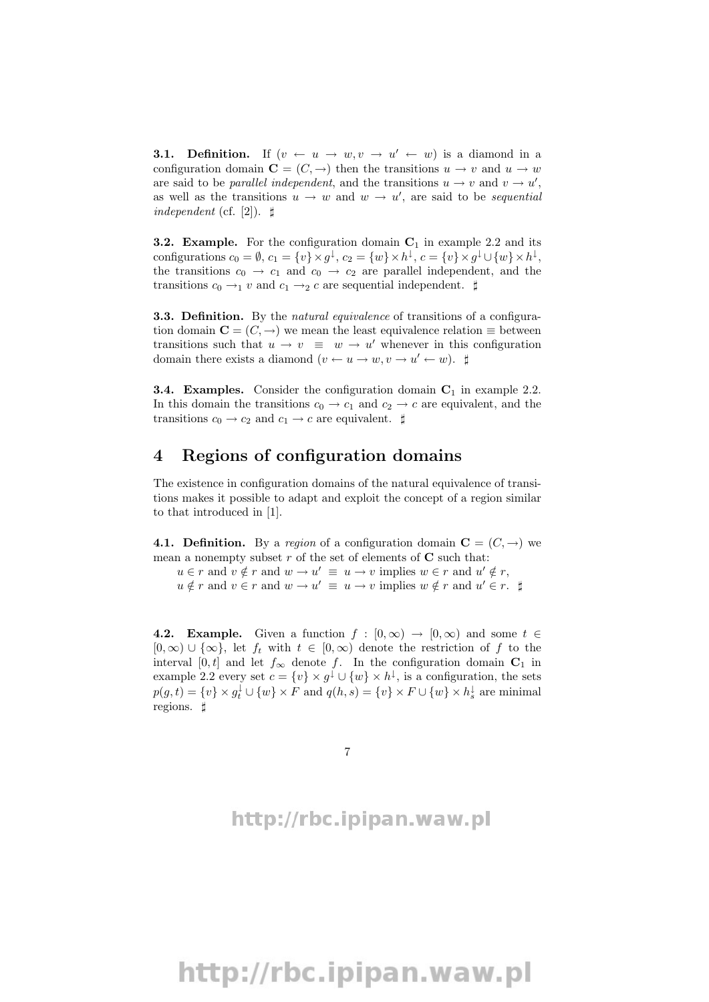**3.1. Definition.** If  $(v \leftarrow u \rightarrow w, v \rightarrow u' \leftarrow w)$  is a diamond in a configuration domain  $\mathbf{C} = (C, \rightarrow)$  then the transitions  $u \rightarrow v$  and  $u \rightarrow w$ are said to be *parallel independent*, and the transitions  $u \to v$  and  $v \to u'$ , as well as the transitions  $u \to w$  and  $w \to u'$ , are said to be *sequential* independent (cf. [2]).  $\sharp$ 

**3.2.** Example. For the configuration domain  $C_1$  in example 2.2 and its configurations  $c_0 = \emptyset$ ,  $c_1 = \{v\} \times g^{\downarrow}$ ,  $c_2 = \{w\} \times h^{\downarrow}$ ,  $c = \{v\} \times g^{\downarrow} \cup \{w\} \times h^{\downarrow}$ , the transitions  $c_0 \rightarrow c_1$  and  $c_0 \rightarrow c_2$  are parallel independent, and the transitions  $c_0 \rightarrow_1 v$  and  $c_1 \rightarrow_2 c$  are sequential independent.  $\sharp$ 

**3.3. Definition.** By the *natural equivalence* of transitions of a configuration domain  $\mathbf{C} = (C, \rightarrow)$  we mean the least equivalence relation  $\equiv$  between transitions such that  $u \to v \equiv w \to u'$  whenever in this configuration domain there exists a diamond  $(v \leftarrow u \rightarrow w, v \rightarrow u' \leftarrow w)$ .  $\sharp$ 

**3.4. Examples.** Consider the configuration domain  $C_1$  in example 2.2. In this domain the transitions  $c_0 \rightarrow c_1$  and  $c_2 \rightarrow c$  are equivalent, and the transitions  $c_0 \rightarrow c_2$  and  $c_1 \rightarrow c$  are equivalent.  $\sharp$ 

#### 4 Regions of configuration domains

The existence in configuration domains of the natural equivalence of transitions makes it possible to adapt and exploit the concept of a region similar to that introduced in [1].

4.1. Definition. By a region of a configuration domain  $\mathbf{C} = (C, \rightarrow)$  we mean a nonempty subset r of the set of elements of  $C$  such that:

 $u \in r$  and  $v \notin r$  and  $w \to u' \equiv u \to v$  implies  $w \in r$  and  $u' \notin r$ ,  $u \notin r$  and  $v \in r$  and  $w \to u' \equiv u \to v$  implies  $w \notin r$  and  $u' \in r$ .  $\sharp$ 

4.2. Example. Given a function  $f : [0, \infty) \to [0, \infty)$  and some  $t \in$  $[0, \infty) \cup {\infty}$ , let  $f_t$  with  $t \in [0, \infty)$  denote the restriction of f to the interval [0, t] and let  $f_{\infty}$  denote f. In the configuration domain  $C_1$  in example 2.2 every set  $c = \{v\} \times g^{\downarrow} \cup \{w\} \times h^{\downarrow}$ , is a configuration, the sets  $p(g,t) = \{v\} \times g_t^{\downarrow} \cup \{w\} \times F$  and  $q(h,s) = \{v\} \times F \cup \{w\} \times h_s^{\downarrow}$  are minimal regions.  $\sharp$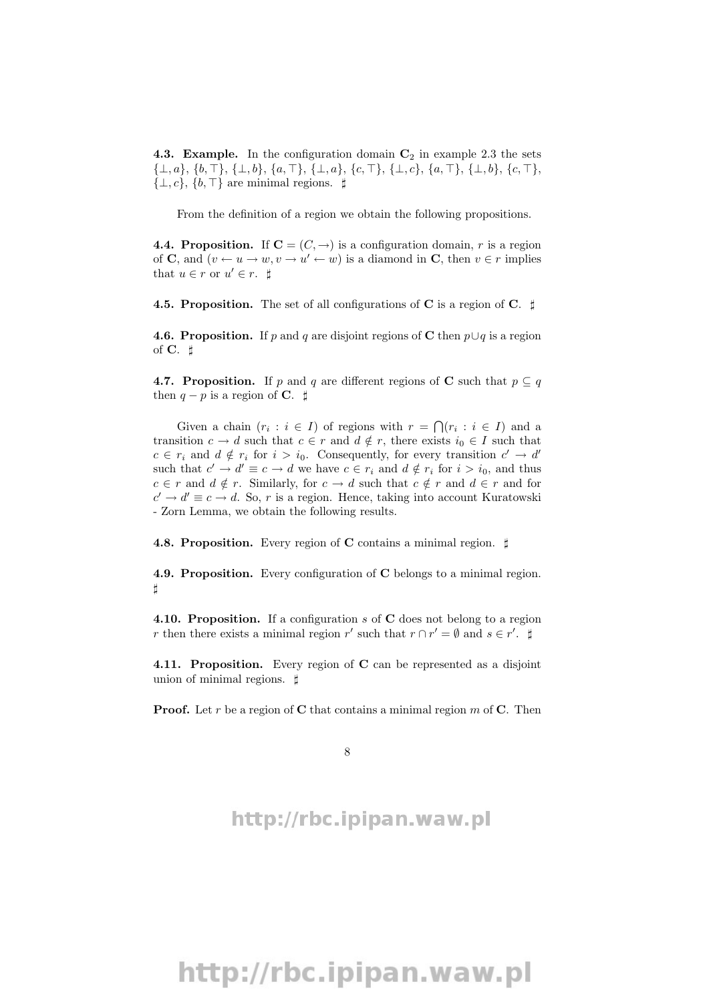**4.3. Example.** In the configuration domain  $C_2$  in example 2.3 the sets  ${\{\bot, a\}, \{b, \top\}, \{\bot, b\}, \{a, \top\}, \{\bot, a\}, \{c, \top\}, \{\bot, c\}, \{a, \top\}, \{\bot, b\}, \{c, \top\},\$  $\{\perp, c\}, \{b, \perp\}$  are minimal regions.  $\sharp$ 

From the definition of a region we obtain the following propositions.

**4.4. Proposition.** If  $C = (C, \rightarrow)$  is a configuration domain, r is a region of **C**, and  $(v \leftarrow u \rightarrow w, v \rightarrow u' \leftarrow w)$  is a diamond in **C**, then  $v \in r$  implies that  $u \in r$  or  $u' \in r$ .  $\sharp$ 

4.5. Proposition. The set of all configurations of C is a region of C.  $\sharp$ 

**4.6. Proposition.** If p and q are disjoint regions of C then  $p \cup q$  is a region of  $C. \; \sharp$ 

**4.7. Proposition.** If p and q are different regions of C such that  $p \subseteq q$ then  $q - p$  is a region of C.  $\sharp$ 

Given a chain  $(r_i : i \in I)$  of regions with  $r = \bigcap (r_i : i \in I)$  and a transition  $c \to d$  such that  $c \in r$  and  $d \notin r$ , there exists  $i_0 \in I$  such that  $c \in r_i$  and  $d \notin r_i$  for  $i > i_0$ . Consequently, for every transition  $c' \to d'$ such that  $c' \to d' \equiv c \to d$  we have  $c \in r_i$  and  $d \notin r_i$  for  $i > i_0$ , and thus  $c \in r$  and  $d \notin r$ . Similarly, for  $c \to d$  such that  $c \notin r$  and  $d \in r$  and for  $c' \rightarrow d' \equiv c \rightarrow d$ . So, r is a region. Hence, taking into account Kuratowski - Zorn Lemma, we obtain the following results.

4.8. Proposition. Every region of C contains a minimal region.  $\sharp$ 

4.9. Proposition. Every configuration of C belongs to a minimal region. ]

4.10. Proposition. If a configuration s of C does not belong to a region r then there exists a minimal region r' such that  $r \cap r' = \emptyset$  and  $s \in r'$ .

4.11. Proposition. Every region of C can be represented as a disjoint union of minimal regions.  $\sharp$ 

**Proof.** Let r be a region of C that contains a minimal region  $m$  of C. Then

8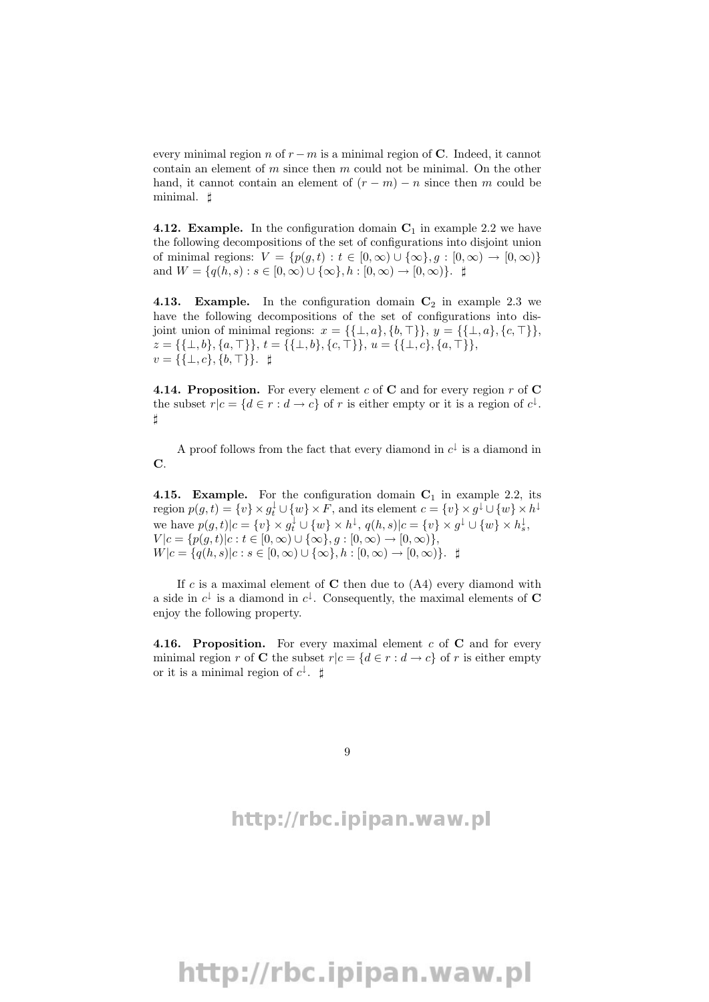every minimal region n of  $r - m$  is a minimal region of C. Indeed, it cannot contain an element of  $m$  since then  $m$  could not be minimal. On the other hand, it cannot contain an element of  $(r - m) - n$  since then m could be minimal.  $\sharp$ 

**4.12. Example.** In the configuration domain  $C_1$  in example 2.2 we have the following decompositions of the set of configurations into disjoint union of minimal regions:  $V = \{p(q, t) : t \in [0, \infty) \cup \{\infty\}, q : [0, \infty) \to [0, \infty)\}\$ and  $W = \{q(h, s) : s \in [0, \infty) \cup \{\infty\}, h : [0, \infty) \to [0, \infty)\}.$ 

4.13. Example. In the configuration domain  $C_2$  in example 2.3 we have the following decompositions of the set of configurations into disjoint union of minimal regions:  $x = \{\{\bot, a\}, \{b, \top\}\}, y = \{\{\bot, a\}, \{c, \top\}\},\$  $z = \{\{\perp, b\}, \{a, \perp\}\}\$ ,  $t = \{\{\perp, b\}, \{c, \perp\}\}\$ ,  $u = \{\{\perp, c\}, \{a, \perp\}\}\$  $v = \{\{\bot, c\}, \{b, \top\}\}\$ .  $\sharp$ 

**4.14. Proposition.** For every element c of C and for every region r of C the subset  $r|c = \{d \in r : d \to c\}$  of r is either empty or it is a region of  $c^{\downarrow}$ .  $^{\sharp}$ 

A proof follows from the fact that every diamond in  $c^{\downarrow}$  is a diamond in C.

4.15. Example. For the configuration domain  $C_1$  in example 2.2, its region  $p(g, t) = \{v\} \times g_t^{\downarrow} \cup \{w\} \times F$ , and its element  $c = \{v\} \times g^{\downarrow} \cup \{w\} \times h^{\downarrow}$ we have  $p(g, t) | c = \{v\} \times g_t^{\downarrow} \cup \{w\} \times h^{\downarrow}$ ,  $q(h, s) | c = \{v\} \times g^{\downarrow} \cup \{w\} \times h_s^{\downarrow}$ ,  $V | c = {p(g, t) | c : t \in [0, \infty) \cup {\infty}, g : [0, \infty) \to [0, \infty)},$  $W|c = \{q(h, s)|c : s \in [0, \infty) \cup \{\infty\}, h : [0, \infty) \to [0, \infty)\}.$ 

If c is a maximal element of  $C$  then due to  $(A4)$  every diamond with a side in  $c^{\downarrow}$  is a diamond in  $c^{\downarrow}$ . Consequently, the maximal elements of **C** enjoy the following property.

**4.16. Proposition.** For every maximal element  $c$  of  $C$  and for every minimal region r of C the subset  $r|c = \{d \in r : d \to c\}$  of r is either empty or it is a minimal region of  $c^{\downarrow}$ .  $\sharp$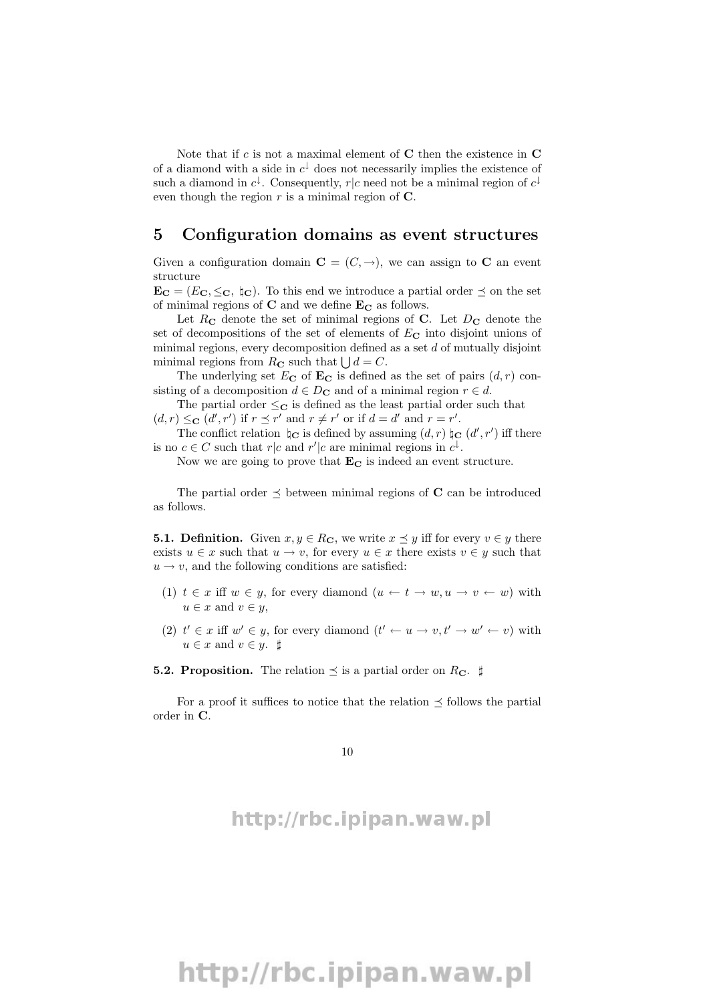Note that if c is not a maximal element of  $C$  then the existence in  $C$ of a diamond with a side in  $c^{\downarrow}$  does not necessarily implies the existence of such a diamond in  $c^{\downarrow}$ . Consequently,  $r|c$  need not be a minimal region of  $c^{\downarrow}$ even though the region  $r$  is a minimal region of  $\mathbf C$ .

#### 5 Configuration domains as event structures

Given a configuration domain  $\mathbf{C} = (C, \rightarrow)$ , we can assign to C an event structure

 $\mathbf{E_C} = (E_C, \leq_C, \, \natural_C)$ . To this end we introduce a partial order  $\preceq$  on the set of minimal regions of  $C$  and we define  $E_C$  as follows.

Let  $R_{\rm C}$  denote the set of minimal regions of C. Let  $D_{\rm C}$  denote the set of decompositions of the set of elements of  $E_{\rm C}$  into disjoint unions of minimal regions, every decomposition defined as a set  $d$  of mutually disjoint minimal regions from  $R_{\mathbf{C}}$  such that  $\bigcup d = C$ .

The underlying set  $E_{\mathbf{C}}$  of  $\mathbf{E}_{\mathbf{C}}$  is defined as the set of pairs  $(d, r)$  consisting of a decomposition  $d \in D_{\mathbf{C}}$  and of a minimal region  $r \in d$ .

The partial order  $\leq_C$  is defined as the least partial order such that  $(d, r) \leq_{\mathbf{C}} (d', r')$  if  $r \preceq r'$  and  $r \neq r'$  or if  $d = d'$  and  $r = r'$ .

The conflict relation  $\sharp_{\mathbf{C}}$  is defined by assuming  $(d, r) \sharp_{\mathbf{C}} (d', r')$  iff there is no  $c \in C$  such that  $r|c$  and  $r'|c$  are minimal regions in  $c^{\downarrow}$ .

Now we are going to prove that  $\mathbf{E}_{\mathbf{C}}$  is indeed an event structure.

The partial order  $\preceq$  between minimal regions of C can be introduced as follows.

**5.1. Definition.** Given  $x, y \in R_{\mathbb{C}}$ , we write  $x \preceq y$  iff for every  $v \in y$  there exists  $u \in x$  such that  $u \to v$ , for every  $u \in x$  there exists  $v \in y$  such that  $u \rightarrow v$ , and the following conditions are satisfied:

- (1)  $t \in x$  iff  $w \in y$ , for every diamond  $(u \leftarrow t \rightarrow w, u \rightarrow v \leftarrow w)$  with  $u \in x$  and  $v \in y$ ,
- (2)  $t' \in x$  iff  $w' \in y$ , for every diamond  $(t' \leftarrow u \rightarrow v, t' \rightarrow w' \leftarrow v)$  with  $u \in x$  and  $v \in y$ .  $\sharp$

#### **5.2. Proposition.** The relation  $\preceq$  is a partial order on  $R_{\rm C}$ .  $\sharp$

For a proof it suffices to notice that the relation  $\preceq$  follows the partial order in C.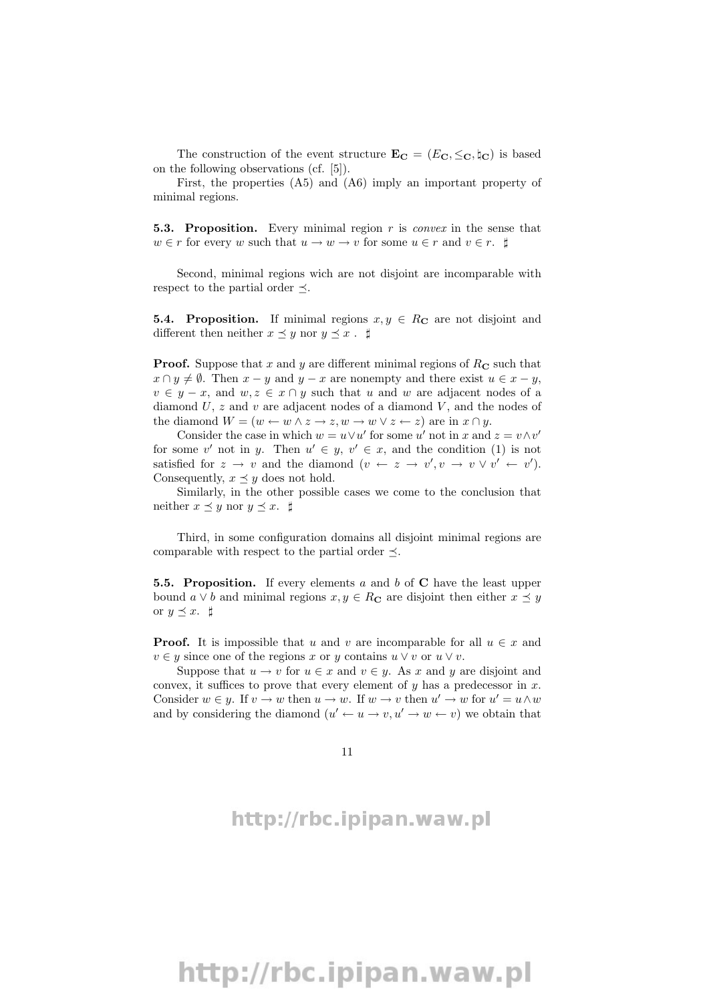The construction of the event structure  $\mathbf{E_C} = (E_C, \leq_C, \natural_C)$  is based on the following observations (cf. [5]).

First, the properties (A5) and (A6) imply an important property of minimal regions.

**5.3. Proposition.** Every minimal region  $r$  is *convex* in the sense that  $w \in r$  for every w such that  $u \to w \to v$  for some  $u \in r$  and  $v \in r$ .  $\sharp$ 

Second, minimal regions wich are not disjoint are incomparable with respect to the partial order  $\prec$ .

**5.4. Proposition.** If minimal regions  $x, y \in R_{\mathbb{C}}$  are not disjoint and different then neither  $x \preceq y$  nor  $y \preceq x$ .  $\sharp$ 

**Proof.** Suppose that x and y are different minimal regions of  $R_{\rm C}$  such that  $x \cap y \neq \emptyset$ . Then  $x - y$  and  $y - x$  are nonempty and there exist  $u \in x - y$ ,  $v \in y - x$ , and  $w, z \in x \cap y$  such that u and w are adjacent nodes of a diamond  $U$ ,  $z$  and  $v$  are adjacent nodes of a diamond  $V$ , and the nodes of the diamond  $W = (w \leftarrow w \land z \rightarrow z, w \rightarrow w \lor z \leftarrow z)$  are in  $x \cap y$ .

Consider the case in which  $w = u \vee u'$  for some u' not in x and  $z = v \wedge v'$ for some v' not in y. Then  $u' \in y, v' \in x$ , and the condition (1) is not satisfied for  $z \to v$  and the diamond  $(v \leftarrow z \to v', v \to v \lor v' \leftarrow v')$ . Consequently,  $x \preceq y$  does not hold.

Similarly, in the other possible cases we come to the conclusion that neither  $x \preceq y$  nor  $y \preceq x$ .  $\sharp$ 

Third, in some configuration domains all disjoint minimal regions are comparable with respect to the partial order  $\preceq$ .

**5.5. Proposition.** If every elements a and b of  $C$  have the least upper bound  $a \vee b$  and minimal regions  $x, y \in R_{\mathbf{C}}$  are disjoint then either  $x \preceq y$ or  $y \preceq x$ .  $\sharp$ 

**Proof.** It is impossible that u and v are incomparable for all  $u \in x$  and  $v \in y$  since one of the regions x or y contains  $u \vee v$  or  $u \vee v$ .

Suppose that  $u \to v$  for  $u \in x$  and  $v \in y$ . As x and y are disjoint and convex, it suffices to prove that every element of  $y$  has a predecessor in  $x$ . Consider  $w \in y$ . If  $v \to w$  then  $u \to w$ . If  $w \to v$  then  $u' \to w$  for  $u' = u \wedge w$ and by considering the diamond  $(u' \leftarrow u \rightarrow v, u' \rightarrow w \leftarrow v)$  we obtain that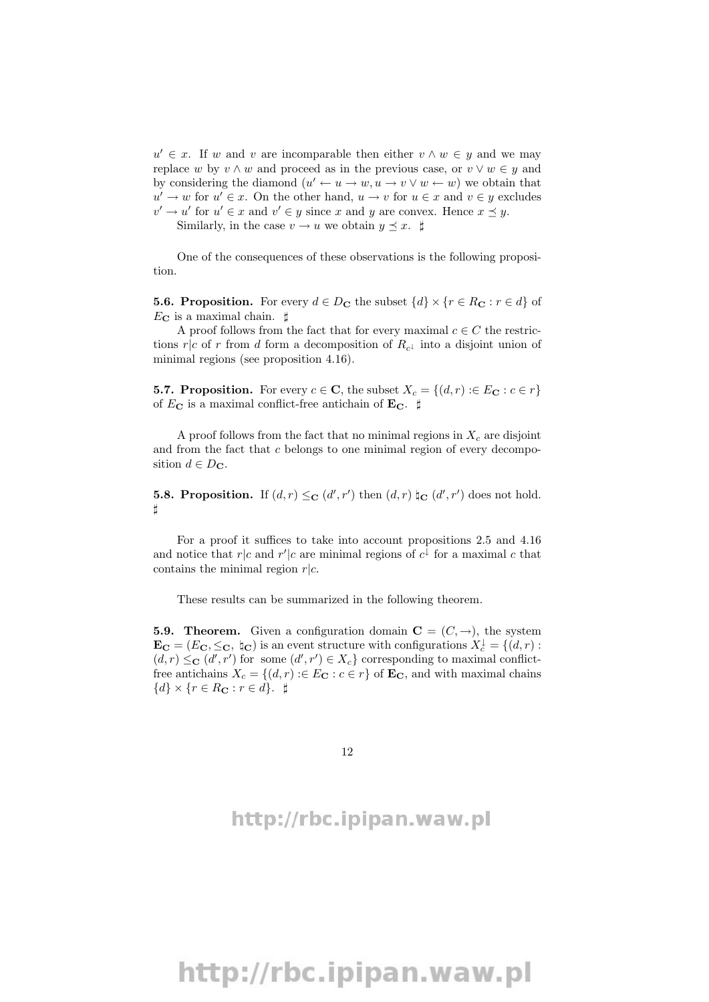$u' \in x$ . If w and v are incomparable then either  $v \wedge w \in y$  and we may replace w by  $v \wedge w$  and proceed as in the previous case, or  $v \vee w \in y$  and by considering the diamond  $(u' \leftarrow u \rightarrow w, u \rightarrow v \vee w \leftarrow w)$  we obtain that  $u' \to w$  for  $u' \in x$ . On the other hand,  $u \to v$  for  $u \in x$  and  $v \in y$  excludes  $v' \to u'$  for  $u' \in x$  and  $v' \in y$  since x and y are convex. Hence  $x \preceq y$ .

Similarly, in the case  $v \to u$  we obtain  $y \preceq x$ .  $\sharp$ 

One of the consequences of these observations is the following proposition.

**5.6. Proposition.** For every  $d \in D_{\mathbf{C}}$  the subset  $\{d\} \times \{r \in R_{\mathbf{C}} : r \in d\}$  of  $E_{\rm C}$  is a maximal chain.  $\sharp$ 

A proof follows from the fact that for every maximal  $c \in C$  the restrictions  $r|c$  of r from d form a decomposition of  $R_{c}$  into a disjoint union of minimal regions (see proposition 4.16).

**5.7. Proposition.** For every  $c \in \mathbb{C}$ , the subset  $X_c = \{(d, r) : E_{\mathbb{C}} : c \in r\}$ of  $E_{\text{C}}$  is a maximal conflict-free antichain of  $\text{E}_{\text{C}}$ .  $\sharp$ 

A proof follows from the fact that no minimal regions in  $X_c$  are disjoint and from the fact that c belongs to one minimal region of every decomposition  $d \in D_{\mathbf{C}}$ .

**5.8. Proposition.** If  $(d, r) \leq_C (d', r')$  then  $(d, r) \nightharpoonup_C (d', r')$  does not hold.  $^{\sharp}$ 

For a proof it suffices to take into account propositions 2.5 and 4.16 and notice that  $r|c$  and  $r'|c$  are minimal regions of  $c^{\downarrow}$  for a maximal c that contains the minimal region  $r|c$ .

These results can be summarized in the following theorem.

**5.9. Theorem.** Given a configuration domain  $C = (C, \rightarrow)$ , the system  $\mathbf{E_C} = (E_C, \leq_C, \, \natural_C)$  is an event structure with configurations  $X_c^{\downarrow} = \{(d, r)$ :  $(d, r) \leq_C (d', r')$  for some  $(d', r') \in X_c$  corresponding to maximal conflictfree antichains  $X_c = \{(d, r) : E_{\mathbf{C}} : c \in r\}$  of  $\mathbf{E}_{\mathbf{C}}$ , and with maximal chains  $\{d\} \times \{r \in R_{\mathbf{C}} : r \in d\}.$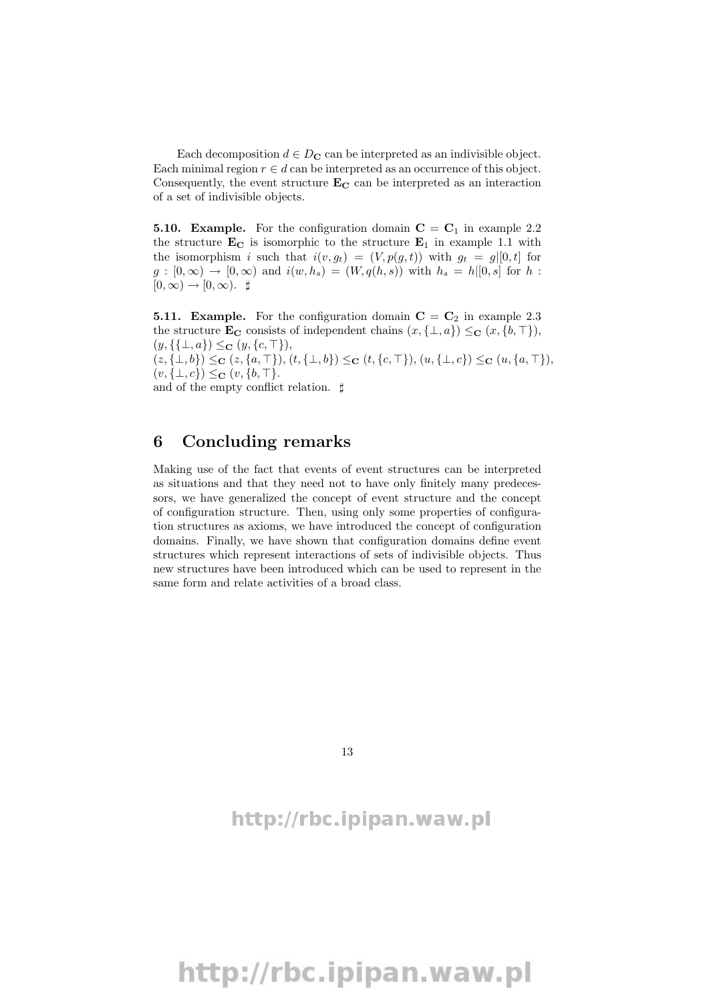Each decomposition  $d \in D_{\mathbf{C}}$  can be interpreted as an indivisible object. Each minimal region  $r \in d$  can be interpreted as an occurrence of this object. Consequently, the event structure  $\mathbf{E}_{\mathbf{C}}$  can be interpreted as an interaction of a set of indivisible objects.

**5.10. Example.** For the configuration domain  $C = C<sub>1</sub>$  in example 2.2 the structure  $\mathbf{E}_{\mathbf{C}}$  is isomorphic to the structure  $\mathbf{E}_1$  in example 1.1 with the isomorphism i such that  $i(v, g_t) = (V, p(g, t))$  with  $g_t = g|[0, t]$  for  $g:[0,\infty) \to [0,\infty)$  and  $i(w, h_s) = (W, q(h, s))$  with  $h_s = h|[0,s]$  for h:  $[0, \infty) \rightarrow [0, \infty)$ .  $\sharp$ 

**5.11. Example.** For the configuration domain  $C = C_2$  in example 2.3 the structure  $\mathbf{E_C}$  consists of independent chains  $(x, {\{\perp}, a\}) \leq_C (x, {b, \top}\}),$  $(y, \{\{\perp, a\}) \leq_{\mathbf{C}} (y, \{c, \top\}),$  $(z, {\perp, b}) \leq_C (z, {a, \top}), (t, {\perp, b}) \leq_C (t, {c, \top}), (u, {\perp, c}) \leq_C (u, {a, \top}),$  $(v, {\{\perp}, c\}) \leq_{\mathbf{C}} (v, {\{b, \top\}}).$ 

and of the empty conflict relation.  $\sharp$ 

#### 6 Concluding remarks

Making use of the fact that events of event structures can be interpreted as situations and that they need not to have only finitely many predecessors, we have generalized the concept of event structure and the concept of configuration structure. Then, using only some properties of configuration structures as axioms, we have introduced the concept of configuration domains. Finally, we have shown that configuration domains define event structures which represent interactions of sets of indivisible objects. Thus new structures have been introduced which can be used to represent in the same form and relate activities of a broad class.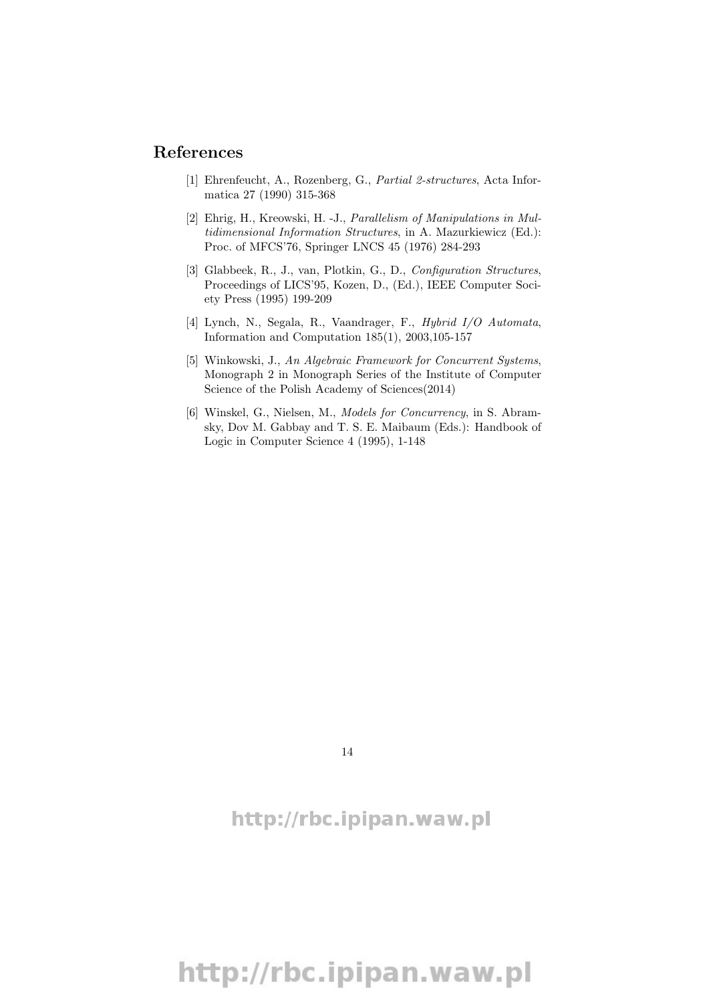#### References

- [1] Ehrenfeucht, A., Rozenberg, G., Partial 2-structures, Acta Informatica 27 (1990) 315-368
- [2] Ehrig, H., Kreowski, H. -J., Parallelism of Manipulations in Multidimensional Information Structures, in A. Mazurkiewicz (Ed.): Proc. of MFCS'76, Springer LNCS 45 (1976) 284-293
- [3] Glabbeek, R., J., van, Plotkin, G., D., Configuration Structures, Proceedings of LICS'95, Kozen, D., (Ed.), IEEE Computer Society Press (1995) 199-209
- [4] Lynch, N., Segala, R., Vaandrager, F., Hybrid I/O Automata, Information and Computation 185(1), 2003,105-157
- [5] Winkowski, J., An Algebraic Framework for Concurrent Systems, Monograph 2 in Monograph Series of the Institute of Computer Science of the Polish Academy of Sciences(2014)
- [6] Winskel, G., Nielsen, M., Models for Concurrency, in S. Abramsky, Dov M. Gabbay and T. S. E. Maibaum (Eds.): Handbook of Logic in Computer Science 4 (1995), 1-148